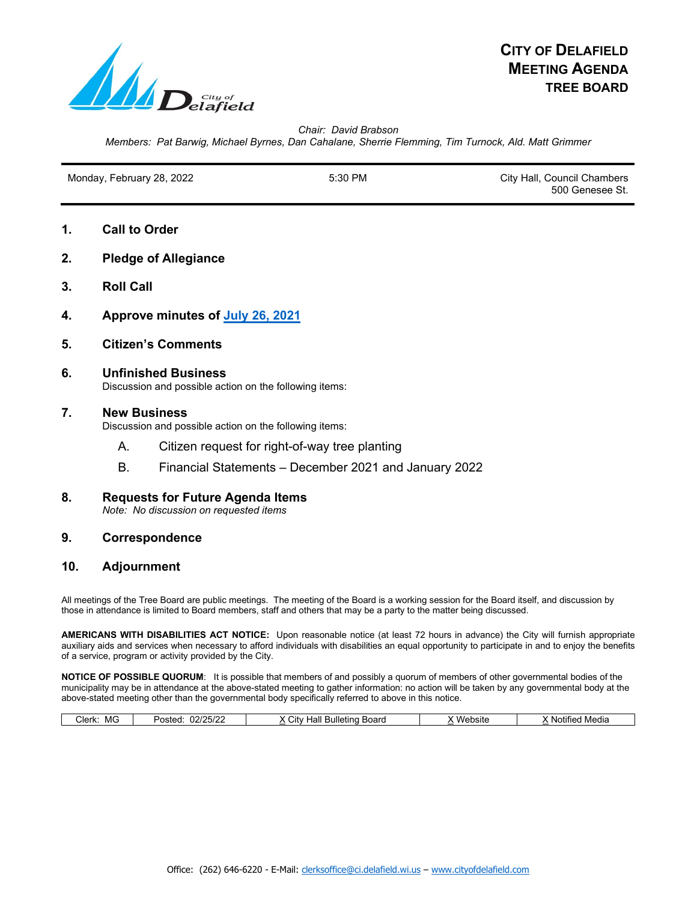

*Chair: David Brabson Members: Pat Barwig, Michael Byrnes, Dan Cahalane, Sherrie Flemming, Tim Turnock, Ald. Matt Grimmer*

Monday, February 28, 2022 The State of the State of State of State of State of State of State of State of State of State of State of State of State of State of State of State of State of State of State of State of State of

500 Genesee St.

- **1. Call to Order**
- **2. Pledge of Allegiance**
- **3. Roll Call**
- **4. Approve minutes of [July 26, 2021](https://www.cityofdelafield.com/AgendaCenter/ViewFile/Minutes/_07262021-535)**
- **5. Citizen's Comments**
- **6. Unfinished Business** Discussion and possible action on the following items:

## **7. New Business**

Discussion and possible action on the following items:

- A. Citizen request for right-of-way tree planting
- B. Financial Statements December 2021 and January 2022
- **8. Requests for Future Agenda Items** *Note: No discussion on requested items*

# **9. Correspondence**

# **10. Adjournment**

All meetings of the Tree Board are public meetings. The meeting of the Board is a working session for the Board itself, and discussion by those in attendance is limited to Board members, staff and others that may be a party to the matter being discussed.

**AMERICANS WITH DISABILITIES ACT NOTICE:** Upon reasonable notice (at least 72 hours in advance) the City will furnish appropriate auxiliary aids and services when necessary to afford individuals with disabilities an equal opportunity to participate in and to enjoy the benefits of a service, program or activity provided by the City.

**NOTICE OF POSSIBLE QUORUM**: It is possible that members of and possibly a quorum of members of other governmental bodies of the municipality may be in attendance at the above-stated meeting to gather information: no action will be taken by any governmental body at the above-stated meeting other than the governmental body specifically referred to above in this notice.

| Clerk:<br>MG | F/2<br>22/25<br>Posted:<br>ے ∠د:<br>UZ | ∵Bulletino<br>Citv<br>Board<br>--<br>⊓aı | .<br>'ebsite<br>۱Mar⊾ | <br>Medi.<br>Notified |
|--------------|----------------------------------------|------------------------------------------|-----------------------|-----------------------|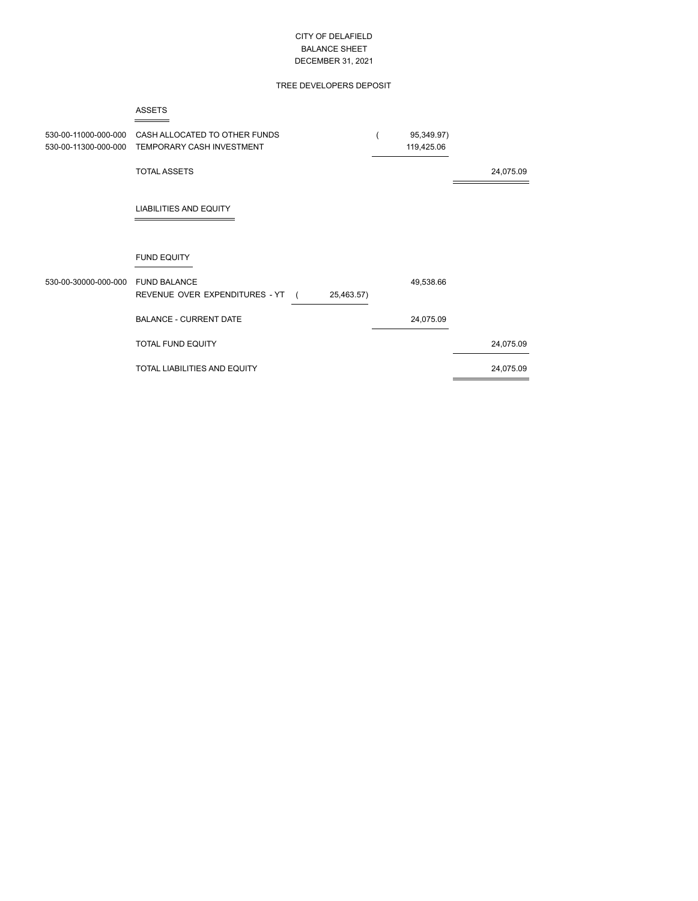### CITY OF DELAFIELD BALANCE SHEET DECEMBER 31, 2021

## TREE DEVELOPERS DEPOSIT

#### ASSETS

| 530-00-11000-000-000<br>530-00-11300-000-000 | CASH ALLOCATED TO OTHER FUNDS<br>TEMPORARY CASH INVESTMENT          | 95,349.97)<br>119,425.06 |           |
|----------------------------------------------|---------------------------------------------------------------------|--------------------------|-----------|
|                                              | <b>TOTAL ASSETS</b>                                                 |                          | 24,075.09 |
|                                              | <b>LIABILITIES AND EQUITY</b>                                       |                          |           |
|                                              | <b>FUND EQUITY</b>                                                  |                          |           |
| 530-00-30000-000-000                         | <b>FUND BALANCE</b><br>REVENUE OVER EXPENDITURES - YT<br>25,463.57) | 49,538.66                |           |
|                                              | <b>BALANCE - CURRENT DATE</b>                                       | 24,075.09                |           |
|                                              | TOTAL FUND EQUITY                                                   |                          | 24,075.09 |
|                                              | TOTAL LIABILITIES AND EQUITY                                        |                          | 24,075.09 |
|                                              |                                                                     |                          |           |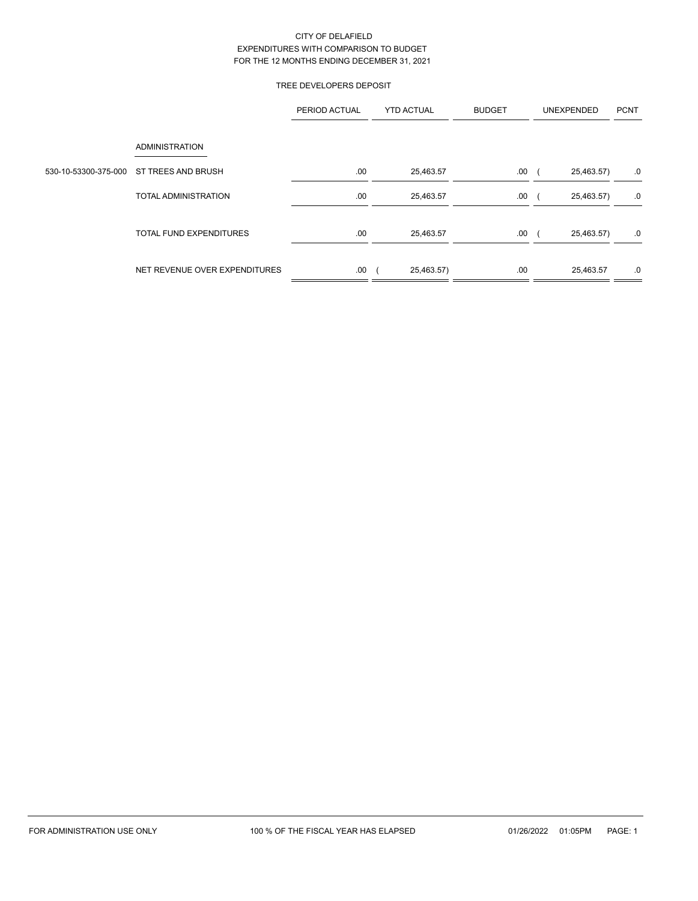### CITY OF DELAFIELD EXPENDITURES WITH COMPARISON TO BUDGET FOR THE 12 MONTHS ENDING DECEMBER 31, 2021

## TREE DEVELOPERS DEPOSIT

|                                         | PERIOD ACTUAL | <b>YTD ACTUAL</b> | <b>BUDGET</b> | <b>UNEXPENDED</b> | <b>PCNT</b> |  |
|-----------------------------------------|---------------|-------------------|---------------|-------------------|-------------|--|
| <b>ADMINISTRATION</b>                   |               |                   |               |                   |             |  |
| 530-10-53300-375-000 ST TREES AND BRUSH | .00           | 25,463.57         | .00.          | 25,463.57)        | .0          |  |
| <b>TOTAL ADMINISTRATION</b>             | .00           | 25,463.57         | .00.          | 25,463.57)        | .0          |  |
| <b>TOTAL FUND EXPENDITURES</b>          | .00           | 25,463.57         | .00.          | 25,463.57)        | .0          |  |
| NET REVENUE OVER EXPENDITURES           | .00           | 25,463.57)        | .00           | 25,463.57         | .0          |  |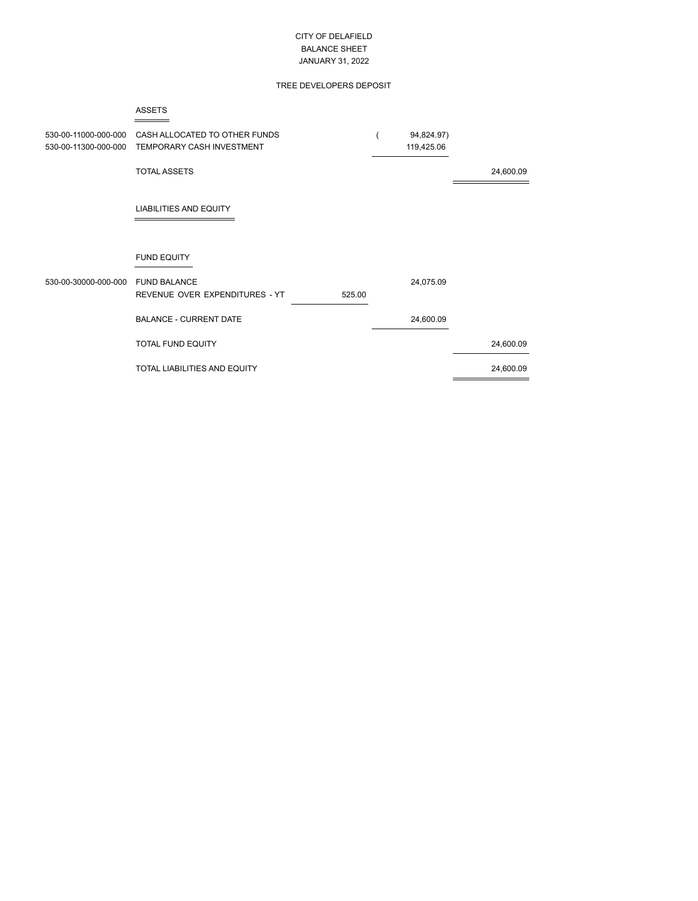### CITY OF DELAFIELD BALANCE SHEET JANUARY 31, 2022

## TREE DEVELOPERS DEPOSIT

#### ASSETS

| 530-00-11000-000-000 | CASH ALLOCATED TO OTHER FUNDS<br>530-00-11300-000-000 TEMPORARY CASH INVESTMENT | 94,824.97)<br>119,425.06 |           |
|----------------------|---------------------------------------------------------------------------------|--------------------------|-----------|
|                      | <b>TOTAL ASSETS</b>                                                             |                          | 24,600.09 |
|                      | <b>LIABILITIES AND EQUITY</b>                                                   |                          |           |
|                      | <b>FUND EQUITY</b>                                                              |                          |           |
| 530-00-30000-000-000 | <b>FUND BALANCE</b><br>REVENUE OVER EXPENDITURES - YT<br>525.00                 | 24,075.09                |           |
|                      | <b>BALANCE - CURRENT DATE</b>                                                   | 24,600.09                |           |
|                      | <b>TOTAL FUND EQUITY</b>                                                        |                          | 24,600.09 |
|                      | TOTAL LIABILITIES AND EQUITY                                                    |                          | 24,600.09 |